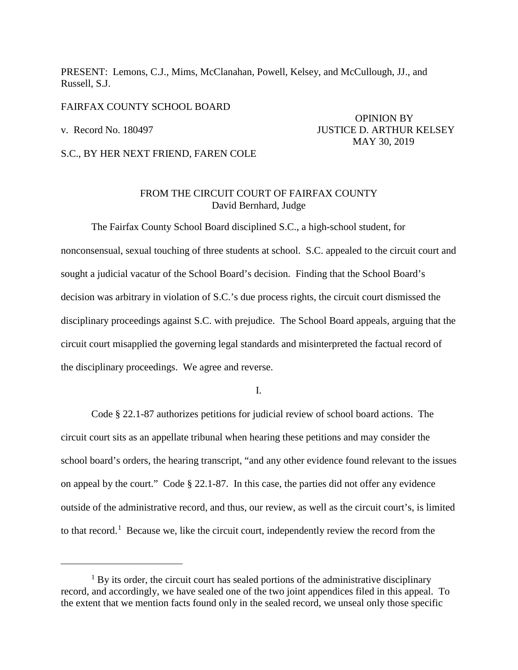PRESENT: Lemons, C.J., Mims, McClanahan, Powell, Kelsey, and McCullough, JJ., and Russell, S.J.

## FAIRFAX COUNTY SCHOOL BOARD

 $\overline{a}$ 

 OPINION BY v. Record No. 180497 JUSTICE D. ARTHUR KELSEY MAY 30, 2019

S.C., BY HER NEXT FRIEND, FAREN COLE

# FROM THE CIRCUIT COURT OF FAIRFAX COUNTY David Bernhard, Judge

 The Fairfax County School Board disciplined S.C., a high-school student, for nonconsensual, sexual touching of three students at school. S.C. appealed to the circuit court and sought a judicial vacatur of the School Board's decision. Finding that the School Board's decision was arbitrary in violation of S.C.'s due process rights, the circuit court dismissed the disciplinary proceedings against S.C. with prejudice. The School Board appeals, arguing that the circuit court misapplied the governing legal standards and misinterpreted the factual record of the disciplinary proceedings. We agree and reverse.

I.

Code § 22.1-87 authorizes petitions for judicial review of school board actions. The circuit court sits as an appellate tribunal when hearing these petitions and may consider the school board's orders, the hearing transcript, "and any other evidence found relevant to the issues on appeal by the court." Code § 22.1-87. In this case, the parties did not offer any evidence outside of the administrative record, and thus, our review, as well as the circuit court's, is limited to that record.<sup>[1](#page-0-0)</sup> Because we, like the circuit court, independently review the record from the

<span id="page-0-0"></span><sup>&</sup>lt;sup>1</sup> By its order, the circuit court has sealed portions of the administrative disciplinary record, and accordingly, we have sealed one of the two joint appendices filed in this appeal. To the extent that we mention facts found only in the sealed record, we unseal only those specific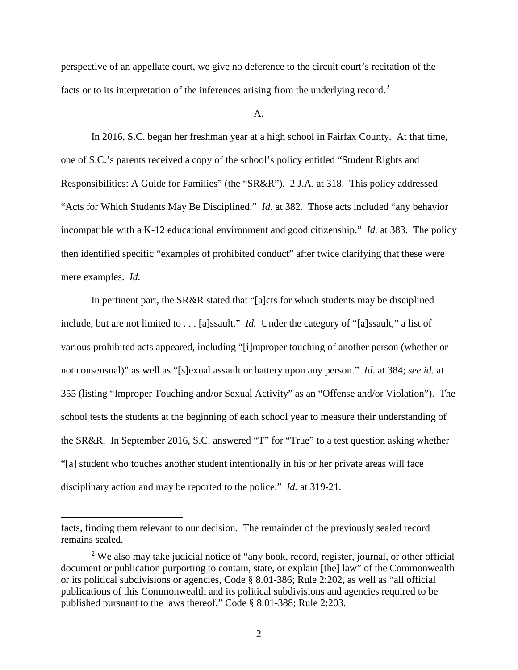perspective of an appellate court, we give no deference to the circuit court's recitation of the facts or to its interpretation of the inferences arising from the underlying record.<sup>[2](#page-1-0)</sup>

A.

In 2016, S.C. began her freshman year at a high school in Fairfax County. At that time, one of S.C.'s parents received a copy of the school's policy entitled "Student Rights and Responsibilities: A Guide for Families" (the "SR&R"). 2 J.A. at 318. This policy addressed "Acts for Which Students May Be Disciplined." *Id.* at 382. Those acts included "any behavior incompatible with a K-12 educational environment and good citizenship." *Id.* at 383. The policy then identified specific "examples of prohibited conduct" after twice clarifying that these were mere examples. *Id.*

In pertinent part, the SR&R stated that "[a]cts for which students may be disciplined include, but are not limited to . . . [a]ssault." *Id.* Under the category of "[a]ssault," a list of various prohibited acts appeared, including "[i]mproper touching of another person (whether or not consensual)" as well as "[s]exual assault or battery upon any person." *Id.* at 384; *see id.* at 355 (listing "Improper Touching and/or Sexual Activity" as an "Offense and/or Violation"). The school tests the students at the beginning of each school year to measure their understanding of the SR&R. In September 2016, S.C. answered "T" for "True" to a test question asking whether "[a] student who touches another student intentionally in his or her private areas will face disciplinary action and may be reported to the police." *Id.* at 319-21.

facts, finding them relevant to our decision. The remainder of the previously sealed record remains sealed.

<span id="page-1-0"></span> $2$  We also may take judicial notice of "any book, record, register, journal, or other official document or publication purporting to contain, state, or explain [the] law" of the Commonwealth or its political subdivisions or agencies, Code § 8.01-386; Rule 2:202, as well as "all official publications of this Commonwealth and its political subdivisions and agencies required to be published pursuant to the laws thereof," Code § 8.01-388; Rule 2:203.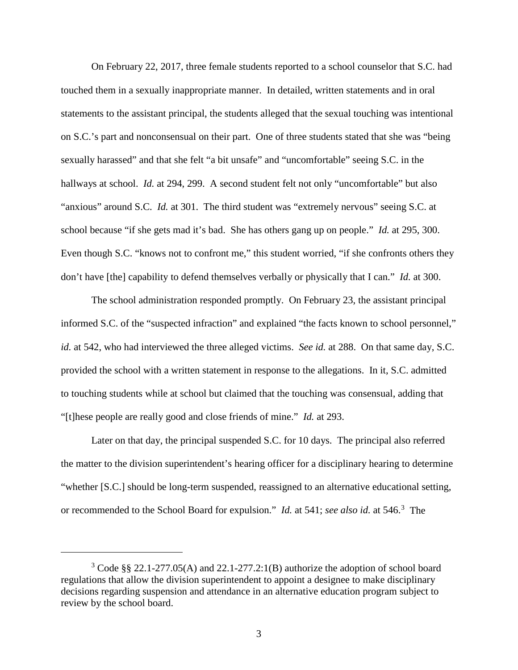On February 22, 2017, three female students reported to a school counselor that S.C. had touched them in a sexually inappropriate manner. In detailed, written statements and in oral statements to the assistant principal, the students alleged that the sexual touching was intentional on S.C.'s part and nonconsensual on their part. One of three students stated that she was "being sexually harassed" and that she felt "a bit unsafe" and "uncomfortable" seeing S.C. in the hallways at school. *Id.* at 294, 299. A second student felt not only "uncomfortable" but also "anxious" around S.C. *Id.* at 301. The third student was "extremely nervous" seeing S.C. at school because "if she gets mad it's bad. She has others gang up on people." *Id.* at 295, 300. Even though S.C. "knows not to confront me," this student worried, "if she confronts others they don't have [the] capability to defend themselves verbally or physically that I can." *Id.* at 300.

The school administration responded promptly. On February 23, the assistant principal informed S.C. of the "suspected infraction" and explained "the facts known to school personnel," *id.* at 542, who had interviewed the three alleged victims. *See id.* at 288. On that same day, S.C. provided the school with a written statement in response to the allegations. In it, S.C. admitted to touching students while at school but claimed that the touching was consensual, adding that "[t]hese people are really good and close friends of mine." *Id.* at 293.

Later on that day, the principal suspended S.C. for 10 days. The principal also referred the matter to the division superintendent's hearing officer for a disciplinary hearing to determine "whether [S.C.] should be long-term suspended, reassigned to an alternative educational setting, or recommended to the School Board for expulsion." *Id.* at 541; *see also id.* at 546.[3](#page-2-0) The

<span id="page-2-0"></span> $3 \text{ Code } \S \S 22.1\text{-}277.05(A)$  and  $22.1\text{-}277.2\text{:}1(B)$  authorize the adoption of school board regulations that allow the division superintendent to appoint a designee to make disciplinary decisions regarding suspension and attendance in an alternative education program subject to review by the school board.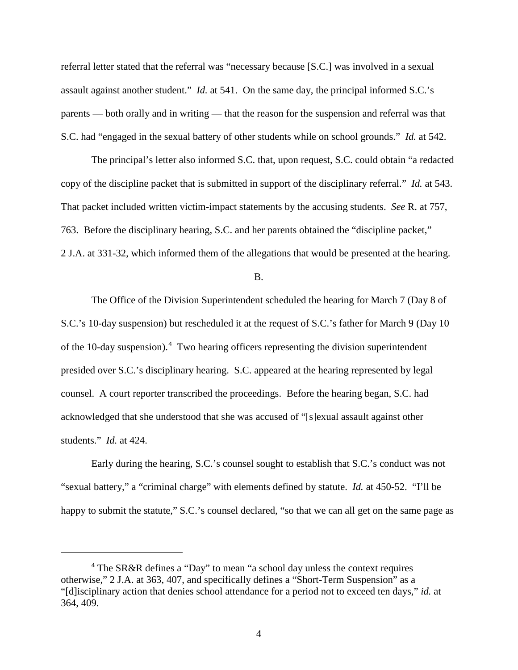referral letter stated that the referral was "necessary because [S.C.] was involved in a sexual assault against another student." *Id.* at 541. On the same day, the principal informed S.C.'s parents — both orally and in writing — that the reason for the suspension and referral was that S.C. had "engaged in the sexual battery of other students while on school grounds." *Id.* at 542.

The principal's letter also informed S.C. that, upon request, S.C. could obtain "a redacted copy of the discipline packet that is submitted in support of the disciplinary referral." *Id.* at 543. That packet included written victim-impact statements by the accusing students. *See* R. at 757, 763. Before the disciplinary hearing, S.C. and her parents obtained the "discipline packet," 2 J.A. at 331-32, which informed them of the allegations that would be presented at the hearing.

B.

The Office of the Division Superintendent scheduled the hearing for March 7 (Day 8 of S.C.'s 10-day suspension) but rescheduled it at the request of S.C.'s father for March 9 (Day 10 of the 10-day suspension).<sup>[4](#page-3-0)</sup> Two hearing officers representing the division superintendent presided over S.C.'s disciplinary hearing. S.C. appeared at the hearing represented by legal counsel. A court reporter transcribed the proceedings. Before the hearing began, S.C. had acknowledged that she understood that she was accused of "[s]exual assault against other students." *Id.* at 424.

Early during the hearing, S.C.'s counsel sought to establish that S.C.'s conduct was not "sexual battery," a "criminal charge" with elements defined by statute. *Id.* at 450-52. "I'll be happy to submit the statute," S.C.'s counsel declared, "so that we can all get on the same page as

<span id="page-3-0"></span><sup>&</sup>lt;sup>4</sup> The SR&R defines a "Day" to mean "a school day unless the context requires otherwise," 2 J.A. at 363, 407, and specifically defines a "Short-Term Suspension" as a "[d]isciplinary action that denies school attendance for a period not to exceed ten days," *id.* at 364, 409.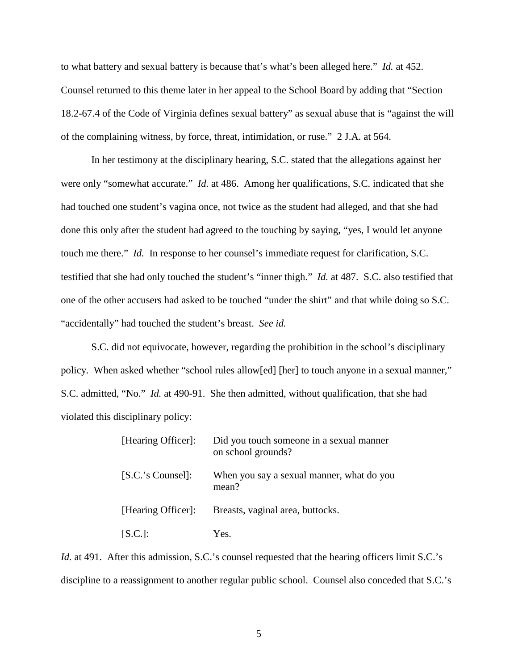to what battery and sexual battery is because that's what's been alleged here." *Id.* at 452. Counsel returned to this theme later in her appeal to the School Board by adding that "Section 18.2-67.4 of the Code of Virginia defines sexual battery" as sexual abuse that is "against the will of the complaining witness, by force, threat, intimidation, or ruse." 2 J.A. at 564.

In her testimony at the disciplinary hearing, S.C. stated that the allegations against her were only "somewhat accurate." *Id.* at 486. Among her qualifications, S.C. indicated that she had touched one student's vagina once, not twice as the student had alleged, and that she had done this only after the student had agreed to the touching by saying, "yes, I would let anyone touch me there." *Id.* In response to her counsel's immediate request for clarification, S.C. testified that she had only touched the student's "inner thigh." *Id.* at 487. S.C. also testified that one of the other accusers had asked to be touched "under the shirt" and that while doing so S.C. "accidentally" had touched the student's breast. *See id.*

S.C. did not equivocate, however, regarding the prohibition in the school's disciplinary policy. When asked whether "school rules allow[ed] [her] to touch anyone in a sexual manner," S.C. admitted, "No." *Id.* at 490-91. She then admitted, without qualification, that she had violated this disciplinary policy:

| [Hearing Officer]: | Did you touch someone in a sexual manner<br>on school grounds? |
|--------------------|----------------------------------------------------------------|
| [S.C.'s Counsel]:  | When you say a sexual manner, what do you<br>mean?             |
| [Hearing Officer]: | Breasts, vaginal area, buttocks.                               |
| [S.C.]:            | Yes.                                                           |

*Id.* at 491. After this admission, S.C.'s counsel requested that the hearing officers limit S.C.'s discipline to a reassignment to another regular public school. Counsel also conceded that S.C.'s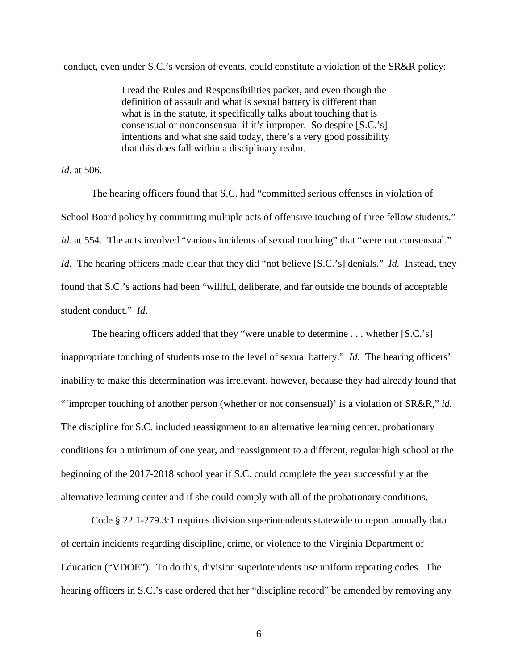conduct, even under S.C.'s version of events, could constitute a violation of the SR&R policy:

I read the Rules and Responsibilities packet, and even though the definition of assault and what is sexual battery is different than what is in the statute, it specifically talks about touching that is consensual or nonconsensual if it's improper. So despite [S.C.'s] intentions and what she said today, there's a very good possibility that this does fall within a disciplinary realm.

*Id.* at 506.

The hearing officers found that S.C. had "committed serious offenses in violation of School Board policy by committing multiple acts of offensive touching of three fellow students." *Id.* at 554. The acts involved "various incidents of sexual touching" that "were not consensual." *Id.* The hearing officers made clear that they did "not believe [S.C.'s] denials." *Id.* Instead, they found that S.C.'s actions had been "willful, deliberate, and far outside the bounds of acceptable student conduct." *Id*.

The hearing officers added that they "were unable to determine . . . whether [S.C.'s] inappropriate touching of students rose to the level of sexual battery." *Id.* The hearing officers' inability to make this determination was irrelevant, however, because they had already found that "'improper touching of another person (whether or not consensual)' is a violation of SR&R," *id.* The discipline for S.C. included reassignment to an alternative learning center, probationary conditions for a minimum of one year, and reassignment to a different, regular high school at the beginning of the 2017-2018 school year if S.C. could complete the year successfully at the alternative learning center and if she could comply with all of the probationary conditions.

Code § 22.1-279.3:1 requires division superintendents statewide to report annually data of certain incidents regarding discipline, crime, or violence to the Virginia Department of Education ("VDOE"). To do this, division superintendents use uniform reporting codes. The hearing officers in S.C.'s case ordered that her "discipline record" be amended by removing any

6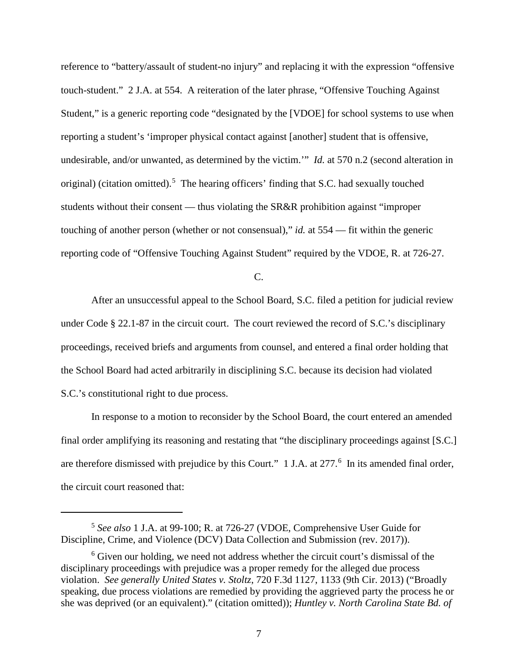reference to "battery/assault of student-no injury" and replacing it with the expression "offensive touch-student." 2 J.A. at 554. A reiteration of the later phrase, "Offensive Touching Against Student," is a generic reporting code "designated by the [VDOE] for school systems to use when reporting a student's 'improper physical contact against [another] student that is offensive, undesirable, and/or unwanted, as determined by the victim." *Id.* at 570 n.2 (second alteration in original) (citation omitted).<sup>[5](#page-6-0)</sup> The hearing officers' finding that S.C. had sexually touched students without their consent — thus violating the SR&R prohibition against "improper touching of another person (whether or not consensual)," *id.* at 554 — fit within the generic reporting code of "Offensive Touching Against Student" required by the VDOE, R. at 726-27.

C.

 After an unsuccessful appeal to the School Board, S.C. filed a petition for judicial review under Code § 22.1-87 in the circuit court. The court reviewed the record of S.C.'s disciplinary proceedings, received briefs and arguments from counsel, and entered a final order holding that the School Board had acted arbitrarily in disciplining S.C. because its decision had violated S.C.'s constitutional right to due process.

In response to a motion to reconsider by the School Board, the court entered an amended final order amplifying its reasoning and restating that "the disciplinary proceedings against [S.C.] are therefore dismissed with prejudice by this Court." 1 J.A. at 277.<sup>[6](#page-6-1)</sup> In its amended final order, the circuit court reasoned that:

<span id="page-6-0"></span><sup>5</sup> *See also* 1 J.A. at 99-100; R. at 726-27 (VDOE, Comprehensive User Guide for Discipline, Crime, and Violence (DCV) Data Collection and Submission (rev. 2017)).

<span id="page-6-1"></span><sup>&</sup>lt;sup>6</sup> Given our holding, we need not address whether the circuit court's dismissal of the disciplinary proceedings with prejudice was a proper remedy for the alleged due process violation. *See generally United States v. Stoltz*, 720 F.3d 1127, 1133 (9th Cir. 2013) ("Broadly speaking, due process violations are remedied by providing the aggrieved party the process he or she was deprived (or an equivalent)." (citation omitted)); *Huntley v. North Carolina State Bd. of*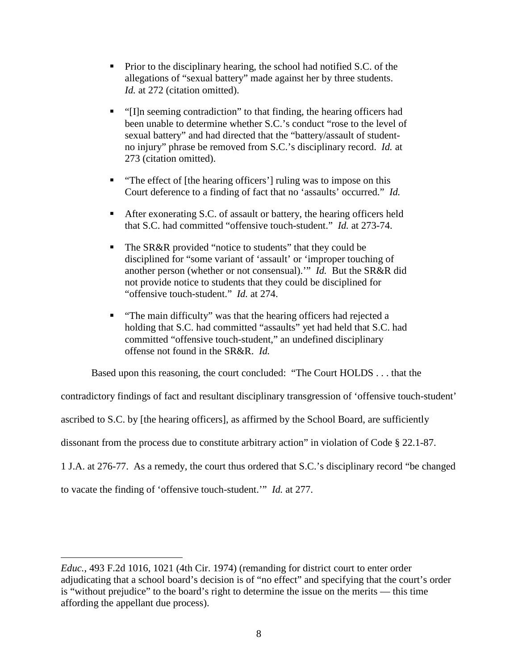- Prior to the disciplinary hearing, the school had notified S.C. of the allegations of "sexual battery" made against her by three students. Id. at 272 (citation omitted).
- "[I]n seeming contradiction" to that finding, the hearing officers had been unable to determine whether S.C.'s conduct "rose to the level of sexual battery" and had directed that the "battery/assault of studentno injury" phrase be removed from S.C.'s disciplinary record. *Id.* at 273 (citation omitted).
- "The effect of [the hearing officers'] ruling was to impose on this Court deference to a finding of fact that no 'assaults' occurred." *Id.*
- After exonerating S.C. of assault or battery, the hearing officers held that S.C. had committed "offensive touch-student." *Id.* at 273-74.
- The SR&R provided "notice to students" that they could be disciplined for "some variant of 'assault' or 'improper touching of another person (whether or not consensual).'" *Id.* But the SR&R did not provide notice to students that they could be disciplined for "offensive touch-student." *Id.* at 274.
- **The main difficulty** was that the hearing officers had rejected a holding that S.C. had committed "assaults" yet had held that S.C. had committed "offensive touch-student," an undefined disciplinary offense not found in the SR&R. *Id.*

Based upon this reasoning, the court concluded: "The Court HOLDS . . . that the

contradictory findings of fact and resultant disciplinary transgression of 'offensive touch-student' ascribed to S.C. by [the hearing officers], as affirmed by the School Board, are sufficiently dissonant from the process due to constitute arbitrary action" in violation of Code § 22.1-87. 1 J.A. at 276-77. As a remedy, the court thus ordered that S.C.'s disciplinary record "be changed to vacate the finding of 'offensive touch-student.'" *Id.* at 277.

*Educ.*, 493 F.2d 1016, 1021 (4th Cir. 1974) (remanding for district court to enter order adjudicating that a school board's decision is of "no effect" and specifying that the court's order is "without prejudice" to the board's right to determine the issue on the merits — this time affording the appellant due process).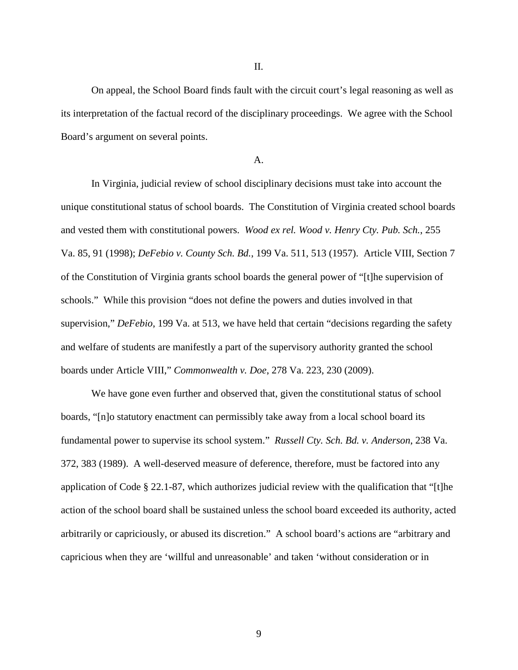On appeal, the School Board finds fault with the circuit court's legal reasoning as well as its interpretation of the factual record of the disciplinary proceedings. We agree with the School Board's argument on several points.

A.

 In Virginia, judicial review of school disciplinary decisions must take into account the unique constitutional status of school boards. The Constitution of Virginia created school boards and vested them with constitutional powers. *Wood ex rel. Wood v. Henry Cty. Pub. Sch.*, 255 Va. 85, 91 (1998); *DeFebio v. County Sch. Bd.*, 199 Va. 511, 513 (1957). Article VIII, Section 7 of the Constitution of Virginia grants school boards the general power of "[t]he supervision of schools." While this provision "does not define the powers and duties involved in that supervision," *DeFebio*, 199 Va. at 513, we have held that certain "decisions regarding the safety and welfare of students are manifestly a part of the supervisory authority granted the school boards under Article VIII," *Commonwealth v. Doe*, 278 Va. 223, 230 (2009).

We have gone even further and observed that, given the constitutional status of school boards, "[n]o statutory enactment can permissibly take away from a local school board its fundamental power to supervise its school system." *Russell Cty. Sch. Bd. v. Anderson*, 238 Va. 372, 383 (1989). A well-deserved measure of deference, therefore, must be factored into any application of Code  $\S 22.1-87$ , which authorizes judicial review with the qualification that "[t]he action of the school board shall be sustained unless the school board exceeded its authority, acted arbitrarily or capriciously, or abused its discretion." A school board's actions are "arbitrary and capricious when they are 'willful and unreasonable' and taken 'without consideration or in

9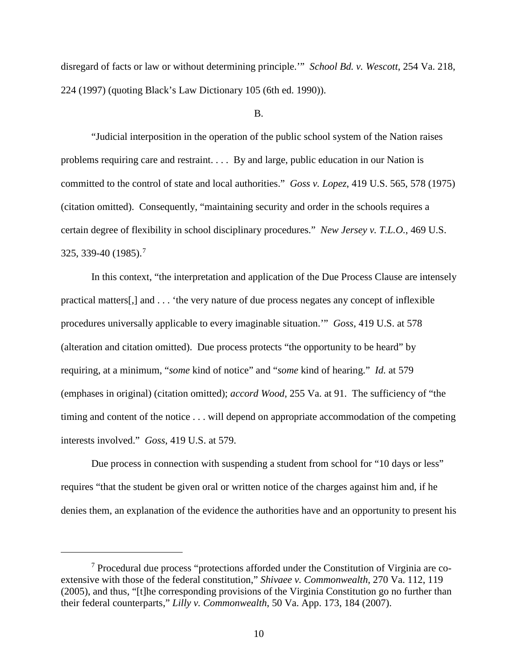disregard of facts or law or without determining principle.'" *School Bd. v. Wescott*, 254 Va. 218, 224 (1997) (quoting Black's Law Dictionary 105 (6th ed. 1990)).

#### B.

"Judicial interposition in the operation of the public school system of the Nation raises problems requiring care and restraint. . . . By and large, public education in our Nation is committed to the control of state and local authorities." *Goss v. Lopez*, 419 U.S. 565, 578 (1975) (citation omitted). Consequently, "maintaining security and order in the schools requires a certain degree of flexibility in school disciplinary procedures." *New Jersey v. T.L.O.*, 469 U.S. 325, 339-40 (1985).<sup>[7](#page-9-0)</sup>

In this context, "the interpretation and application of the Due Process Clause are intensely practical matters[,] and . . . 'the very nature of due process negates any concept of inflexible procedures universally applicable to every imaginable situation.'" *Goss*, 419 U.S. at 578 (alteration and citation omitted). Due process protects "the opportunity to be heard" by requiring, at a minimum, "*some* kind of notice" and "*some* kind of hearing." *Id.* at 579 (emphases in original) (citation omitted); *accord Wood*, 255 Va. at 91. The sufficiency of "the timing and content of the notice . . . will depend on appropriate accommodation of the competing interests involved." *Goss*, 419 U.S. at 579.

Due process in connection with suspending a student from school for "10 days or less" requires "that the student be given oral or written notice of the charges against him and, if he denies them, an explanation of the evidence the authorities have and an opportunity to present his

<span id="page-9-0"></span><sup>&</sup>lt;sup>7</sup> Procedural due process "protections afforded under the Constitution of Virginia are coextensive with those of the federal constitution," *Shivaee v. Commonwealth*, 270 Va. 112, 119 (2005), and thus, "[t]he corresponding provisions of the Virginia Constitution go no further than their federal counterparts," *Lilly v. Commonwealth*, 50 Va. App. 173, 184 (2007).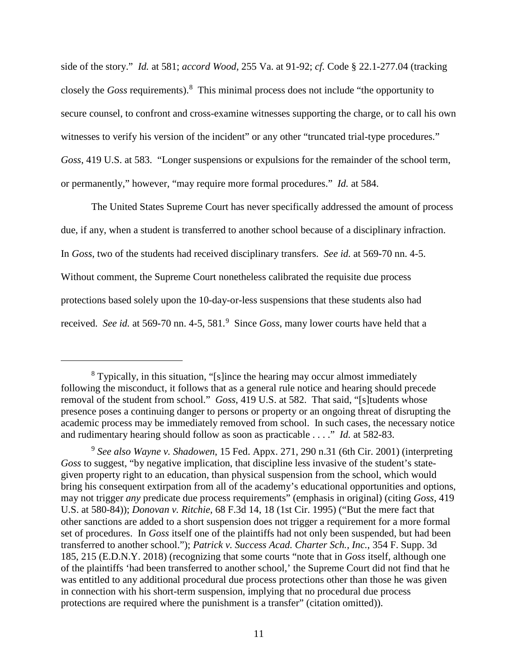side of the story." *Id.* at 581; *accord Wood*, 255 Va. at 91-92; *cf.* Code § 22.1-277.04 (tracking closely the *Goss* requirements).[8](#page-10-0) This minimal process does not include "the opportunity to secure counsel, to confront and cross-examine witnesses supporting the charge, or to call his own witnesses to verify his version of the incident" or any other "truncated trial-type procedures." *Goss*, 419 U.S. at 583. "Longer suspensions or expulsions for the remainder of the school term, or permanently," however, "may require more formal procedures." *Id.* at 584.

 The United States Supreme Court has never specifically addressed the amount of process due, if any, when a student is transferred to another school because of a disciplinary infraction. In *Goss*, two of the students had received disciplinary transfers. *See id.* at 569-70 nn. 4-5. Without comment, the Supreme Court nonetheless calibrated the requisite due process protections based solely upon the 10-day-or-less suspensions that these students also had received. *See id.* at 56[9](#page-10-1)-70 nn. 4-5, 581.<sup>9</sup> Since *Goss*, many lower courts have held that a

<span id="page-10-0"></span><sup>8</sup> Typically, in this situation, "[s]ince the hearing may occur almost immediately following the misconduct, it follows that as a general rule notice and hearing should precede removal of the student from school." *Goss*, 419 U.S. at 582. That said, "[s]tudents whose presence poses a continuing danger to persons or property or an ongoing threat of disrupting the academic process may be immediately removed from school. In such cases, the necessary notice and rudimentary hearing should follow as soon as practicable . . . ." *Id.* at 582-83.

<span id="page-10-1"></span><sup>9</sup> *See also Wayne v. Shadowen*, 15 Fed. Appx. 271, 290 n.31 (6th Cir. 2001) (interpreting *Goss* to suggest, "by negative implication, that discipline less invasive of the student's stategiven property right to an education, than physical suspension from the school, which would bring his consequent extirpation from all of the academy's educational opportunities and options, may not trigger *any* predicate due process requirements" (emphasis in original) (citing *Goss*, 419 U.S. at 580-84)); *Donovan v. Ritchie*, 68 F.3d 14, 18 (1st Cir. 1995) ("But the mere fact that other sanctions are added to a short suspension does not trigger a requirement for a more formal set of procedures. In *Goss* itself one of the plaintiffs had not only been suspended, but had been transferred to another school."); *Patrick v. Success Acad. Charter Sch., Inc.*, 354 F. Supp. 3d 185, 215 (E.D.N.Y. 2018) (recognizing that some courts "note that in *Goss* itself, although one of the plaintiffs 'had been transferred to another school,' the Supreme Court did not find that he was entitled to any additional procedural due process protections other than those he was given in connection with his short-term suspension, implying that no procedural due process protections are required where the punishment is a transfer" (citation omitted)).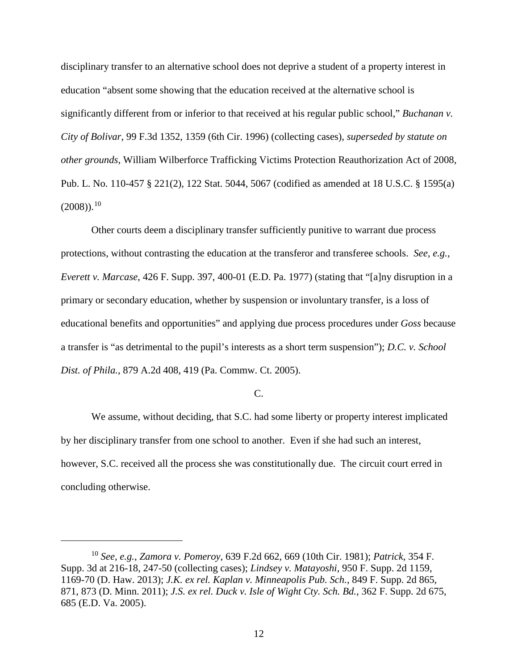disciplinary transfer to an alternative school does not deprive a student of a property interest in education "absent some showing that the education received at the alternative school is significantly different from or inferior to that received at his regular public school," *Buchanan v. City of Bolivar*, 99 F.3d 1352, 1359 (6th Cir. 1996) (collecting cases), *superseded by statute on other grounds*, William Wilberforce Trafficking Victims Protection Reauthorization Act of 2008, Pub. L. No. 110-457 § 221(2), 122 Stat. 5044, 5067 (codified as amended at 18 U.S.C. § 1595(a)  $(2008)$ .<sup>[10](#page-11-0)</sup>

Other courts deem a disciplinary transfer sufficiently punitive to warrant due process protections, without contrasting the education at the transferor and transferee schools. *See, e.g.*, *Everett v. Marcase*, 426 F. Supp. 397, 400-01 (E.D. Pa. 1977) (stating that "[a]ny disruption in a primary or secondary education, whether by suspension or involuntary transfer, is a loss of educational benefits and opportunities" and applying due process procedures under *Goss* because a transfer is "as detrimental to the pupil's interests as a short term suspension"); *D.C. v. School Dist. of Phila.*, 879 A.2d 408, 419 (Pa. Commw. Ct. 2005).

## C.

We assume, without deciding, that S.C. had some liberty or property interest implicated by her disciplinary transfer from one school to another. Even if she had such an interest, however, S.C. received all the process she was constitutionally due. The circuit court erred in concluding otherwise.

<span id="page-11-0"></span><sup>10</sup> *See, e.g.*, *Zamora v. Pomeroy*, 639 F.2d 662, 669 (10th Cir. 1981); *Patrick*, 354 F. Supp. 3d at 216-18, 247-50 (collecting cases); *Lindsey v. Matayoshi*, 950 F. Supp. 2d 1159, 1169-70 (D. Haw. 2013); *J.K. ex rel. Kaplan v. Minneapolis Pub. Sch.*, 849 F. Supp. 2d 865, 871, 873 (D. Minn. 2011); *J.S. ex rel. Duck v. Isle of Wight Cty. Sch. Bd.*, 362 F. Supp. 2d 675, 685 (E.D. Va. 2005).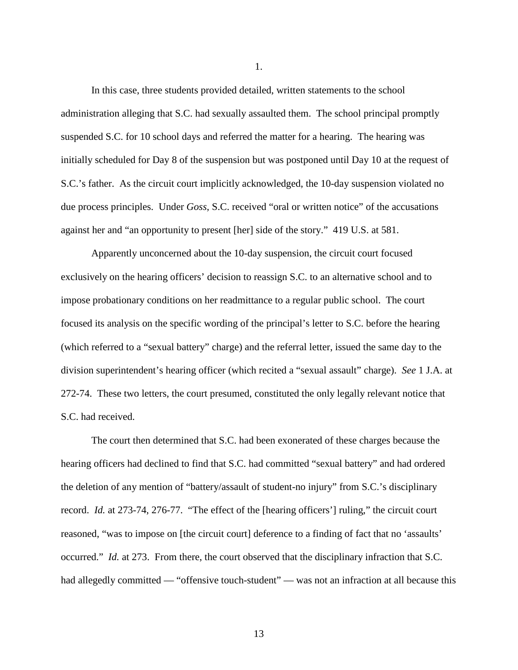In this case, three students provided detailed, written statements to the school administration alleging that S.C. had sexually assaulted them. The school principal promptly suspended S.C. for 10 school days and referred the matter for a hearing. The hearing was initially scheduled for Day 8 of the suspension but was postponed until Day 10 at the request of S.C.'s father. As the circuit court implicitly acknowledged, the 10-day suspension violated no due process principles. Under *Goss*, S.C. received "oral or written notice" of the accusations against her and "an opportunity to present [her] side of the story." 419 U.S. at 581.

1.

Apparently unconcerned about the 10-day suspension, the circuit court focused exclusively on the hearing officers' decision to reassign S.C. to an alternative school and to impose probationary conditions on her readmittance to a regular public school. The court focused its analysis on the specific wording of the principal's letter to S.C. before the hearing (which referred to a "sexual battery" charge) and the referral letter, issued the same day to the division superintendent's hearing officer (which recited a "sexual assault" charge). *See* 1 J.A. at 272-74. These two letters, the court presumed, constituted the only legally relevant notice that S.C. had received.

The court then determined that S.C. had been exonerated of these charges because the hearing officers had declined to find that S.C. had committed "sexual battery" and had ordered the deletion of any mention of "battery/assault of student-no injury" from S.C.'s disciplinary record. *Id.* at 273-74, 276-77. "The effect of the [hearing officers'] ruling," the circuit court reasoned, "was to impose on [the circuit court] deference to a finding of fact that no 'assaults' occurred." *Id.* at 273. From there, the court observed that the disciplinary infraction that S.C. had allegedly committed — "offensive touch-student" — was not an infraction at all because this

13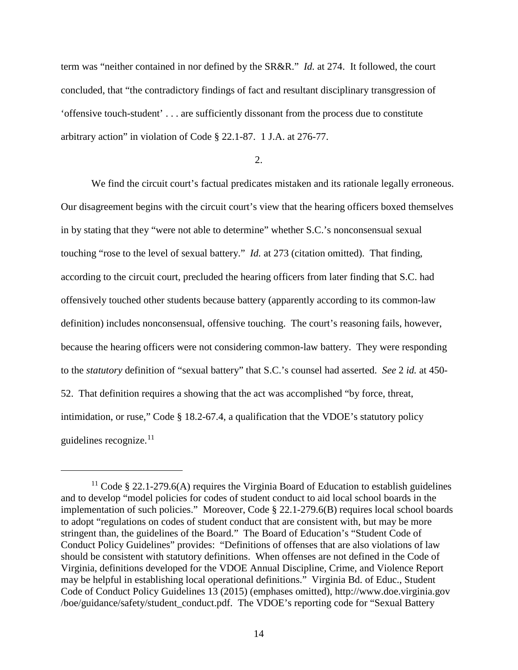term was "neither contained in nor defined by the SR&R." *Id.* at 274. It followed, the court concluded, that "the contradictory findings of fact and resultant disciplinary transgression of 'offensive touch-student' . . . are sufficiently dissonant from the process due to constitute arbitrary action" in violation of Code § 22.1-87. 1 J.A. at 276-77.

2.

We find the circuit court's factual predicates mistaken and its rationale legally erroneous. Our disagreement begins with the circuit court's view that the hearing officers boxed themselves in by stating that they "were not able to determine" whether S.C.'s nonconsensual sexual touching "rose to the level of sexual battery." *Id.* at 273 (citation omitted). That finding, according to the circuit court, precluded the hearing officers from later finding that S.C. had offensively touched other students because battery (apparently according to its common-law definition) includes nonconsensual, offensive touching. The court's reasoning fails, however, because the hearing officers were not considering common-law battery. They were responding to the *statutory* definition of "sexual battery" that S.C.'s counsel had asserted. *See* 2 *id.* at 450- 52. That definition requires a showing that the act was accomplished "by force, threat, intimidation, or ruse," Code § 18.2-67.4, a qualification that the VDOE's statutory policy guidelines recognize. $11$ 

<span id="page-13-0"></span><sup>&</sup>lt;sup>11</sup> Code § 22.1-279.6(A) requires the Virginia Board of Education to establish guidelines and to develop "model policies for codes of student conduct to aid local school boards in the implementation of such policies." Moreover, Code § 22.1-279.6(B) requires local school boards to adopt "regulations on codes of student conduct that are consistent with, but may be more stringent than, the guidelines of the Board." The Board of Education's "Student Code of Conduct Policy Guidelines" provides: "Definitions of offenses that are also violations of law should be consistent with statutory definitions. When offenses are not defined in the Code of Virginia, definitions developed for the VDOE Annual Discipline, Crime, and Violence Report may be helpful in establishing local operational definitions." Virginia Bd. of Educ., Student Code of Conduct Policy Guidelines 13 (2015) (emphases omitted), http://www.doe.virginia.gov /boe/guidance/safety/student\_conduct.pdf. The VDOE's reporting code for "Sexual Battery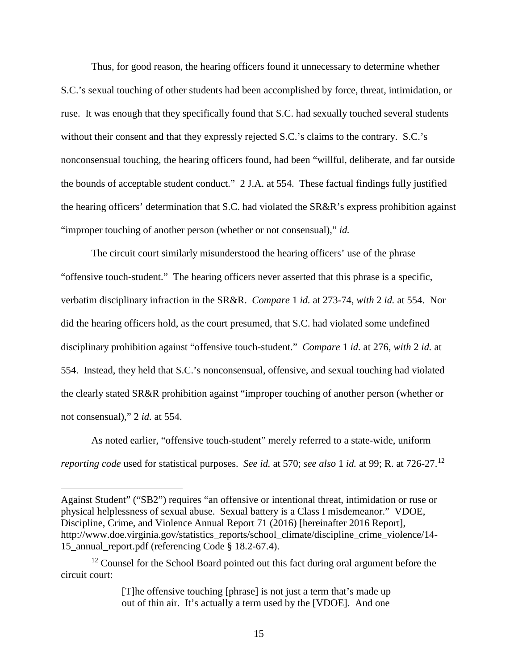Thus, for good reason, the hearing officers found it unnecessary to determine whether S.C.'s sexual touching of other students had been accomplished by force, threat, intimidation, or ruse. It was enough that they specifically found that S.C. had sexually touched several students without their consent and that they expressly rejected S.C.'s claims to the contrary. S.C.'s nonconsensual touching, the hearing officers found, had been "willful, deliberate, and far outside the bounds of acceptable student conduct." 2 J.A. at 554. These factual findings fully justified the hearing officers' determination that S.C. had violated the SR&R's express prohibition against "improper touching of another person (whether or not consensual)," *id.*

The circuit court similarly misunderstood the hearing officers' use of the phrase "offensive touch-student." The hearing officers never asserted that this phrase is a specific, verbatim disciplinary infraction in the SR&R. *Compare* 1 *id.* at 273-74, *with* 2 *id.* at 554. Nor did the hearing officers hold, as the court presumed, that S.C. had violated some undefined disciplinary prohibition against "offensive touch-student." *Compare* 1 *id.* at 276, *with* 2 *id.* at 554. Instead, they held that S.C.'s nonconsensual, offensive, and sexual touching had violated the clearly stated SR&R prohibition against "improper touching of another person (whether or not consensual)," 2 *id.* at 554.

As noted earlier, "offensive touch-student" merely referred to a state-wide, uniform *reporting code* used for statistical purposes. *See id.* at 570; *see also* 1 *id.* at 99; R. at 726-27.[12](#page-14-0) 

Against Student" ("SB2") requires "an offensive or intentional threat, intimidation or ruse or physical helplessness of sexual abuse. Sexual battery is a Class I misdemeanor." VDOE, Discipline, Crime, and Violence Annual Report 71 (2016) [hereinafter 2016 Report], http://www.doe.virginia.gov/statistics\_reports/school\_climate/discipline\_crime\_violence/14- 15\_annual\_report.pdf (referencing Code § 18.2-67.4).

<span id="page-14-0"></span><sup>&</sup>lt;sup>12</sup> Counsel for the School Board pointed out this fact during oral argument before the circuit court:

<sup>[</sup>T]he offensive touching [phrase] is not just a term that's made up out of thin air. It's actually a term used by the [VDOE]. And one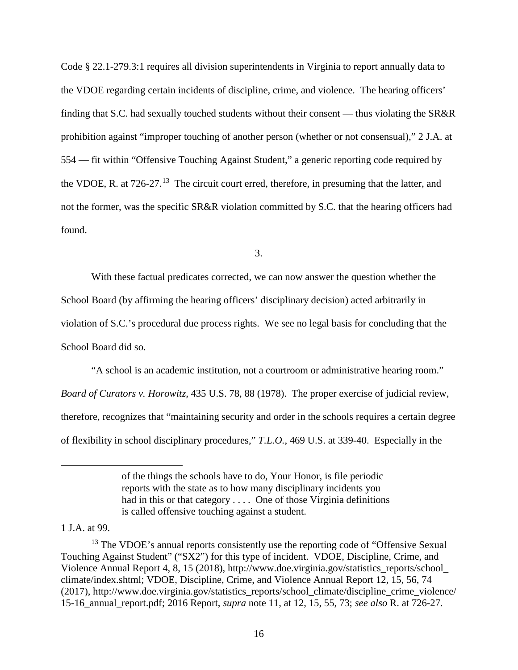Code § 22.1-279.3:1 requires all division superintendents in Virginia to report annually data to the VDOE regarding certain incidents of discipline, crime, and violence. The hearing officers' finding that S.C. had sexually touched students without their consent — thus violating the SR&R prohibition against "improper touching of another person (whether or not consensual)," 2 J.A. at 554 — fit within "Offensive Touching Against Student," a generic reporting code required by the VDOE, R. at 726-27.<sup>[13](#page-15-0)</sup> The circuit court erred, therefore, in presuming that the latter, and not the former, was the specific SR&R violation committed by S.C. that the hearing officers had found.

3.

With these factual predicates corrected, we can now answer the question whether the School Board (by affirming the hearing officers' disciplinary decision) acted arbitrarily in violation of S.C.'s procedural due process rights. We see no legal basis for concluding that the School Board did so.

"A school is an academic institution, not a courtroom or administrative hearing room." *Board of Curators v. Horowitz,* 435 U.S. 78, 88 (1978). The proper exercise of judicial review, therefore, recognizes that "maintaining security and order in the schools requires a certain degree of flexibility in school disciplinary procedures," *T.L.O.*, 469 U.S. at 339-40. Especially in the

## 1 J.A. at 99.

of the things the schools have to do, Your Honor, is file periodic reports with the state as to how many disciplinary incidents you had in this or that category . . . . One of those Virginia definitions is called offensive touching against a student.

<span id="page-15-0"></span><sup>&</sup>lt;sup>13</sup> The VDOE's annual reports consistently use the reporting code of "Offensive Sexual" Touching Against Student" ("SX2") for this type of incident. VDOE, Discipline, Crime, and Violence Annual Report 4, 8, 15 (2018), http://www.doe.virginia.gov/statistics\_reports/school\_ climate/index.shtml; VDOE, Discipline, Crime, and Violence Annual Report 12, 15, 56, 74 (2017), http://www.doe.virginia.gov/statistics\_reports/school\_climate/discipline\_crime\_violence/ 15-16\_annual\_report.pdf; 2016 Report, *supra* note 11, at 12, 15, 55, 73; *see also* R. at 726-27.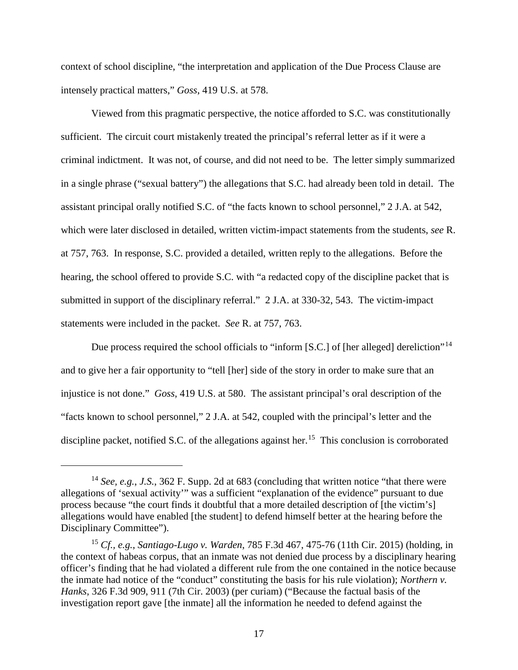context of school discipline, "the interpretation and application of the Due Process Clause are intensely practical matters," *Goss*, 419 U.S. at 578.

Viewed from this pragmatic perspective, the notice afforded to S.C. was constitutionally sufficient. The circuit court mistakenly treated the principal's referral letter as if it were a criminal indictment. It was not, of course, and did not need to be. The letter simply summarized in a single phrase ("sexual battery") the allegations that S.C. had already been told in detail. The assistant principal orally notified S.C. of "the facts known to school personnel," 2 J.A. at 542, which were later disclosed in detailed, written victim-impact statements from the students, *see* R. at 757, 763. In response, S.C. provided a detailed, written reply to the allegations. Before the hearing, the school offered to provide S.C. with "a redacted copy of the discipline packet that is submitted in support of the disciplinary referral." 2 J.A. at 330-32, 543. The victim-impact statements were included in the packet. *See* R. at 757, 763.

Due process required the school officials to "inform [S.C.] of [her alleged] dereliction"<sup>[14](#page-16-0)</sup> and to give her a fair opportunity to "tell [her] side of the story in order to make sure that an injustice is not done." *Goss*, 419 U.S. at 580. The assistant principal's oral description of the "facts known to school personnel," 2 J.A. at 542, coupled with the principal's letter and the discipline packet, notified S.C. of the allegations against her.<sup>15</sup> This conclusion is corroborated

<span id="page-16-0"></span><sup>14</sup> *See, e.g.*, *J.S.*, 362 F. Supp. 2d at 683 (concluding that written notice "that there were allegations of 'sexual activity'" was a sufficient "explanation of the evidence" pursuant to due process because "the court finds it doubtful that a more detailed description of [the victim's] allegations would have enabled [the student] to defend himself better at the hearing before the Disciplinary Committee").

<span id="page-16-1"></span><sup>15</sup> *Cf., e.g.*, *Santiago-Lugo v. Warden*, 785 F.3d 467, 475-76 (11th Cir. 2015) (holding, in the context of habeas corpus, that an inmate was not denied due process by a disciplinary hearing officer's finding that he had violated a different rule from the one contained in the notice because the inmate had notice of the "conduct" constituting the basis for his rule violation); *Northern v. Hanks*, 326 F.3d 909, 911 (7th Cir. 2003) (per curiam) ("Because the factual basis of the investigation report gave [the inmate] all the information he needed to defend against the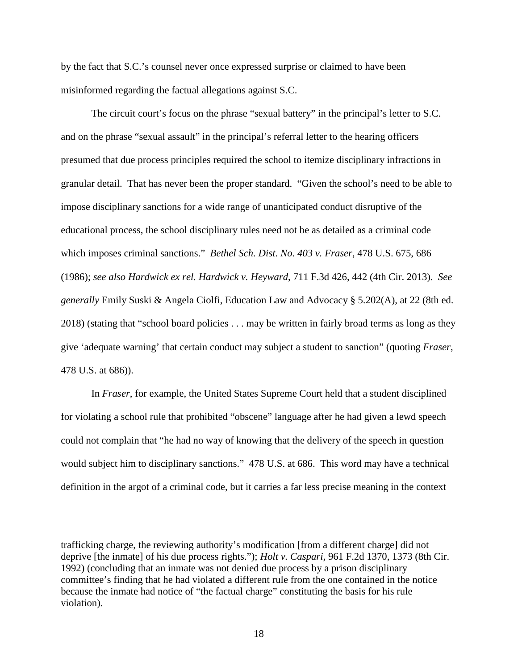by the fact that S.C.'s counsel never once expressed surprise or claimed to have been misinformed regarding the factual allegations against S.C.

The circuit court's focus on the phrase "sexual battery" in the principal's letter to S.C. and on the phrase "sexual assault" in the principal's referral letter to the hearing officers presumed that due process principles required the school to itemize disciplinary infractions in granular detail. That has never been the proper standard. "Given the school's need to be able to impose disciplinary sanctions for a wide range of unanticipated conduct disruptive of the educational process, the school disciplinary rules need not be as detailed as a criminal code which imposes criminal sanctions." *Bethel Sch. Dist. No. 403 v. Fraser*, 478 U.S. 675, 686 (1986); *see also Hardwick ex rel. Hardwick v. Heyward*, 711 F.3d 426, 442 (4th Cir. 2013). *See generally* Emily Suski & Angela Ciolfi, Education Law and Advocacy § 5.202(A), at 22 (8th ed. 2018) (stating that "school board policies . . . may be written in fairly broad terms as long as they give 'adequate warning' that certain conduct may subject a student to sanction" (quoting *Fraser*, 478 U.S. at 686)).

In *Fraser*, for example, the United States Supreme Court held that a student disciplined for violating a school rule that prohibited "obscene" language after he had given a lewd speech could not complain that "he had no way of knowing that the delivery of the speech in question would subject him to disciplinary sanctions." 478 U.S. at 686. This word may have a technical definition in the argot of a criminal code, but it carries a far less precise meaning in the context

trafficking charge, the reviewing authority's modification [from a different charge] did not deprive [the inmate] of his due process rights."); *Holt v. Caspari,* 961 F.2d 1370, 1373 (8th Cir. 1992) (concluding that an inmate was not denied due process by a prison disciplinary committee's finding that he had violated a different rule from the one contained in the notice because the inmate had notice of "the factual charge" constituting the basis for his rule violation).